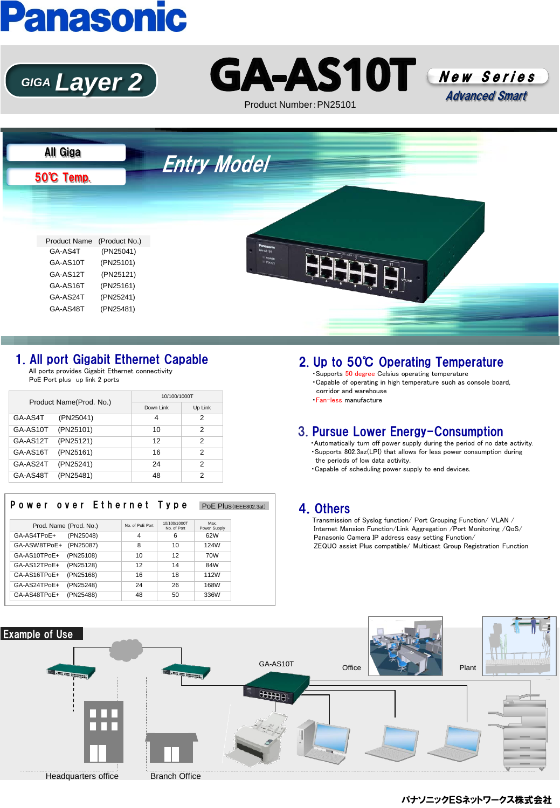# **Panasonic**







Product Number:PN25101



# 1. All port Gigabit Ethernet Capable

 All ports provides Gigabit Ethernet connectivity PoE Port plus up link 2 ports

| Product Name(Prod. No.) |           | 10/100/1000T |         |  |
|-------------------------|-----------|--------------|---------|--|
|                         |           | Down Link    | Up Link |  |
| GA-AS4T                 | (PN25041) | 4            | 2       |  |
| GA-AS10T                | (PN25101) | 10           | 2       |  |
| GA-AS12T                | (PN25121) | 12           | 2       |  |
| GA-AS16T                | (PN25161) | 16           | 2       |  |
| GA-AS24T                | (PN25241) | 24           | 2       |  |
| GA-AS48T                | (PN25481) | 48           | 2       |  |

#### Power over Ethernet Type PoE Plus (IEEE802.3at)

|              | Prod. Name (Prod. No.) | No. of PoE Port | 10/100/1000T<br>No. of Port | Max.<br>Power Supply |
|--------------|------------------------|-----------------|-----------------------------|----------------------|
| GA-AS4TPoE+  | (PN25048)              | 4               | 6                           | 62W                  |
| GA-ASW8TPoE+ | (PN25087)              | 8               | 10                          | 124W                 |
| GA-AS10TPoE+ | (PN25108)              | 10              | 12                          | 70W                  |
| GA-AS12TPoE+ | (PN25128)              | 12              | 14                          | 84W                  |
| GA-AS16TPoE+ | (PN25168)              | 16              | 18                          | 112W                 |
| GA-AS24TPoE+ | (PN25248)              | 24              | 26                          | 168W                 |
| GA-AS48TPoE+ | (PN25488)              | 48              | 50                          | 336W                 |

# 2. Up to 50℃ Operating Temperature

・Supports 50 degree Celsius operating temperature ・Capable of operating in high temperature such as console board, corridor and warehouse ・Fan-less manufacture

# 3. Pursue Lower Energy-Consumption

 ・Automatically turn off power supply during the period of no date activity. ・Supports 802.3az(LPI) that allows for less power consumption during the periods of low data activity.

・Capable of scheduling power supply to end devices.

# 4.Others

 Transmission of Syslog function/ Port Grouping Function/ VLAN / Internet Mansion Function/Link Aggregation /Port Monitoring /QoS/ Panasonic Camera IP address easy setting Function/ ZEQUO assist Plus compatible/ Multicast Group Registration Function



パナソニックESネットワークス株式会社